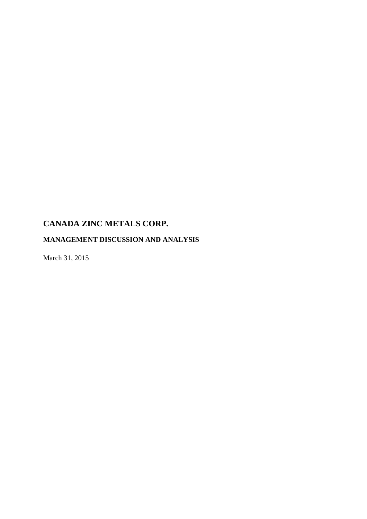# **MANAGEMENT DISCUSSION AND ANALYSIS**

March 31, 2015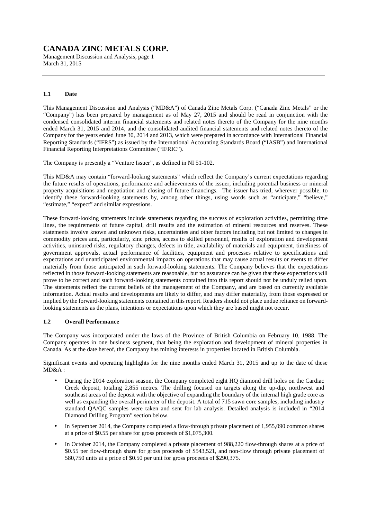Management Discussion and Analysis, page 1 March 31, 2015

### **1.1 Date**

This Management Discussion and Analysis ("MD&A") of Canada Zinc Metals Corp. ("Canada Zinc Metals" or the "Company") has been prepared by management as of May 27, 2015 and should be read in conjunction with the condensed consolidated interim financial statements and related notes thereto of the Company for the nine months ended March 31, 2015 and 2014, and the consolidated audited financial statements and related notes thereto of the Company for the years ended June 30, 2014 and 2013, which were prepared in accordance with International Financial Reporting Standards ("IFRS") as issued by the International Accounting Standards Board ("IASB") and International Financial Reporting Interpretations Committee ("IFRIC").

The Company is presently a "Venture Issuer", as defined in NI 51-102.

This MD&A may contain "forward-looking statements" which reflect the Company's current expectations regarding the future results of operations, performance and achievements of the issuer, including potential business or mineral property acquisitions and negotiation and closing of future financings. The issuer has tried, wherever possible, to identify these forward-looking statements by, among other things, using words such as "anticipate," "believe," "estimate," "expect" and similar expressions.

These forward-looking statements include statements regarding the success of exploration activities, permitting time lines, the requirements of future capital, drill results and the estimation of mineral resources and reserves. These statements involve known and unknown risks, uncertainties and other factors including but not limited to changes in commodity prices and, particularly, zinc prices, access to skilled personnel, results of exploration and development activities, uninsured risks, regulatory changes, defects in title, availability of materials and equipment, timeliness of government approvals, actual performance of facilities, equipment and processes relative to specifications and expectations and unanticipated environmental impacts on operations that may cause actual results or events to differ materially from those anticipated in such forward-looking statements. The Company believes that the expectations reflected in those forward-looking statements are reasonable, but no assurance can be given that these expectations will prove to be correct and such forward-looking statements contained into this report should not be unduly relied upon. The statements reflect the current beliefs of the management of the Company, and are based on currently available information. Actual results and developments are likely to differ, and may differ materially, from those expressed or implied by the forward-looking statements contained in this report. Readers should not place undue reliance on forwardlooking statements as the plans, intentions or expectations upon which they are based might not occur.

### **1.2 Overall Performance**

The Company was incorporated under the laws of the Province of British Columbia on February 10, 1988. The Company operates in one business segment, that being the exploration and development of mineral properties in Canada. As at the date hereof, the Company has mining interests in properties located in British Columbia.

Significant events and operating highlights for the nine months ended March 31, 2015 and up to the date of these MD&A :

- During the 2014 exploration season, the Company completed eight HQ diamond drill holes on the Cardiac Creek deposit, totaling 2,855 metres. The drilling focused on targets along the up-dip, northwest and southeast areas of the deposit with the objective of expanding the boundary of the internal high grade core as well as expanding the overall perimeter of the deposit. A total of 715 sawn core samples, including industry standard  $\hat{O}A/OC$  samples were taken and sent for lab analysis. Detailed analysis is included in "2014 Diamond Drilling Program" section below.
- In September 2014, the Company completed a flow-through private placement of 1,955,090 common shares at a price of \$0.55 per share for gross proceeds of \$1,075,300.
- In October 2014, the Company completed a private placement of 988,220 flow-through shares at a price of \$0.55 per flow-through share for gross proceeds of \$543,521, and non-flow through private placement of 580,750 units at a price of \$0.50 per unit for gross proceeds of \$290,375.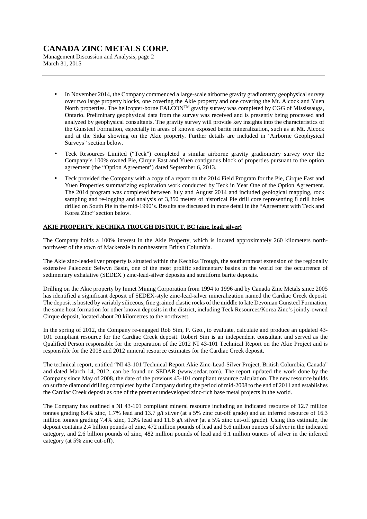Management Discussion and Analysis, page 2 March 31, 2015

- In November 2014, the Company commenced a large-scale airborne gravity gradiometry geophysical survey over two large property blocks, one covering the Akie property and one covering the Mt. Alcock and Yuen North properties. The helicopter-borne FALCON<sup>TM</sup> gravity survey was completed by CGG of Mississauga, Ontario. Preliminary geophysical data from the survey was received and is presently being processed and analyzed by geophysical consultants. The gravity survey will provide key insights into the characteristics of the Gunsteel Formation, especially in areas of known exposed barite mineralization, such as at Mt. Alcock and at the Sitka showing on the Akie property. Further details are included in 'Airborne Geophysical Surveys" section below.
- Teck Resources Limited ("Teck") completed a similar airborne gravity gradiometry survey over the Company's 100% owned Pie, Cirque East and Yuen contiguous block of properties pursuant to the option agreement (the "Option Agreement') dated September 6, 2013.
- Teck provided the Company with a copy of a report on the 2014 Field Program for the Pie, Cirque East and Yuen Properties summarizing exploration work conducted by Teck in Year One of the Option Agreement. The 2014 program was completed between July and August 2014 and included geological mapping, rock sampling and re-logging and analysis of 3,350 meters of historical Pie drill core representing 8 drill holes drilled on South Pie in the mid-1990's. Results are discussed in more detail in the "Agreement with Teck and Korea Zinc" section below.

### **AKIE PROPERTY, KECHIKA TROUGH DISTRICT, BC (zinc, lead, silver)**

The Company holds a 100% interest in the Akie Property, which is located approximately 260 kilometers northnorthwest of the town of Mackenzie in northeastern British Columbia.

The Akie zinc-lead-silver property is situated within the Kechika Trough, the southernmost extension of the regionally extensive Paleozoic Selwyn Basin, one of the most prolific sedimentary basins in the world for the occurrence of sedimentary exhalative (SEDEX ) zinc-lead-silver deposits and stratiform barite deposits.

Drilling on the Akie property by Inmet Mining Corporation from 1994 to 1996 and by Canada Zinc Metals since 2005 has identified a significant deposit of SEDEX-style zinc-lead-silver mineralization named the Cardiac Creek deposit. The deposit is hosted by variably siliceous, fine grained clastic rocks of the middle to late Devonian Gunsteel Formation, the same host formation for other known deposits in the district, including Teck Resources/Korea Zinc's jointly-owned Cirque deposit, located about 20 kilometres to the northwest.

In the spring of 2012, the Company re-engaged Rob Sim, P. Geo., to evaluate, calculate and produce an updated 43- 101 compliant resource for the Cardiac Creek deposit. Robert Sim is an independent consultant and served as the Qualified Person responsible for the preparation of the 2012 NI 43-101 Technical Report on the Akie Project and is responsible for the 2008 and 2012 mineral resource estimates for the Cardiac Creek deposit.

The technical report, entitled "NI 43-101 Technical Report Akie Zinc-Lead-Silver Project, British Columbia, Canada" and dated March 14, 2012, can be found on SEDAR (www.sedar.com). The report updated the work done by the Company since May of 2008, the date of the previous 43-101 compliant resource calculation. The new resource builds on surface diamond drilling completed by the Company during the period of mid-2008 to the end of 2011 and establishes the Cardiac Creek deposit as one of the premier undeveloped zinc-rich base metal projects in the world.

The Company has outlined a NI 43-101 compliant mineral resource including an indicated resource of 12.7 million tonnes grading 8.4% zinc, 1.7% lead and 13.7 g/t silver (at a 5% zinc cut-off grade) and an inferred resource of 16.3 million tonnes grading 7.4% zinc, 1.3% lead and 11.6 g/t silver (at a 5% zinc cut-off grade). Using this estimate, the deposit contains 2.4 billion pounds of zinc, 472 million pounds of lead and 5.6 million ounces of silver in the indicated category, and 2.6 billion pounds of zinc, 482 million pounds of lead and 6.1 million ounces of silver in the inferred category (at 5% zinc cut-off).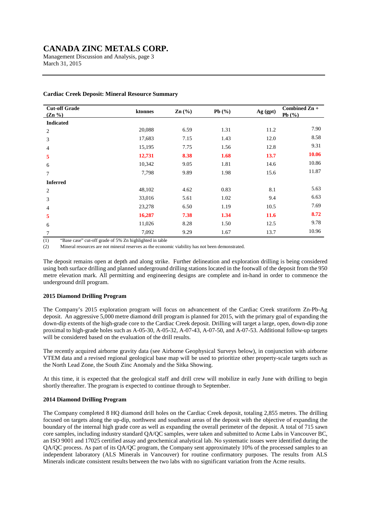Management Discussion and Analysis, page 3 March 31, 2015

| <b>Cut-off Grade</b><br>$(Zn\% )$ | ktonnes | $\text{Zn}(\%)$ | Pb $(\%)$ | Ag (gpt)    | Combined Zn +<br>Pb $(%$ |
|-----------------------------------|---------|-----------------|-----------|-------------|--------------------------|
| <b>Indicated</b>                  |         |                 |           |             |                          |
| 2                                 | 20,088  | 6.59            | 1.31      | 11.2        | 7.90                     |
| 3                                 | 17,683  | 7.15            | 1.43      | 12.0        | 8.58                     |
| 4                                 | 15,195  | 7.75            | 1.56      | 12.8        | 9.31                     |
| 5                                 | 12,731  | 8.38            | 1.68      | 13.7        | 10.06                    |
| 6                                 | 10,342  | 9.05            | 1.81      | 14.6        | 10.86                    |
| 7                                 | 7,798   | 9.89            | 1.98      | 15.6        | 11.87                    |
| <b>Inferred</b>                   |         |                 |           |             |                          |
| $\overline{c}$                    | 48,102  | 4.62            | 0.83      | 8.1         | 5.63                     |
| 3                                 | 33,016  | 5.61            | 1.02      | 9.4         | 6.63                     |
| 4                                 | 23,278  | 6.50            | 1.19      | 10.5        | 7.69                     |
| 5                                 | 16,287  | 7.38            | 1.34      | <b>11.6</b> | 8.72                     |
| 6                                 | 11,026  | 8.28            | 1.50      | 12.5        | 9.78                     |
| $\tau$                            | 7,092   | 9.29            | 1.67      | 13.7        | 10.96                    |

#### **Cardiac Creek Deposit: Mineral Resource Summary**

(1) "Base case" cut-off grade of 5% Zn highlighted in table

(2) Mineral resources are not mineral reserves as the economic viability has not been demonstrated.

The deposit remains open at depth and along strike. Further delineation and exploration drilling is being considered using both surface drilling and planned underground drilling stations located in the footwall of the deposit from the 950 metre elevation mark. All permitting and engineering designs are complete and in-hand in order to commence the underground drill program.

### **2015 Diamond Drilling Program**

The Company's 2015 exploration program will focus on advancement of the Cardiac Creek stratiform Zn-Pb-Ag deposit. An aggressive 5,000 metre diamond drill program is planned for 2015, with the primary goal of expanding the down-dip extents of the high-grade core to the Cardiac Creek deposit. Drilling will target a large, open, down-dip zone proximal to high-grade holes such as A-05-30, A-05-32, A-07-43, A-07-50, and A-07-53. Additional follow-up targets will be considered based on the evaluation of the drill results.

The recently acquired airborne gravity data (see Airborne Geophysical Surveys below), in conjunction with airborne VTEM data and a revised regional geological base map will be used to prioritize other property-scale targets such as the North Lead Zone, the South Zinc Anomaly and the Sitka Showing.

At this time, it is expected that the geological staff and drill crew will mobilize in early June with drilling to begin shortly thereafter. The program is expected to continue through to September.

### **2014 Diamond Drilling Program**

The Company completed 8 HQ diamond drill holes on the Cardiac Creek deposit, totaling 2,855 metres. The drilling focused on targets along the up-dip, northwest and southeast areas of the deposit with the objective of expanding the boundary of the internal high grade core as well as expanding the overall perimeter of the deposit. A total of 715 sawn core samples, including industry standard QA/QC samples, were taken and submitted to Acme Labs in Vancouver BC, an ISO 9001 and 17025 certified assay and geochemical analytical lab. No systematic issues were identified during the QA/QC process. As part of its QA/QC program, the Company sent approximately 10% of the processed samples to an independent laboratory (ALS Minerals in Vancouver) for routine confirmatory purposes. The results from ALS Minerals indicate consistent results between the two labs with no significant variation from the Acme results.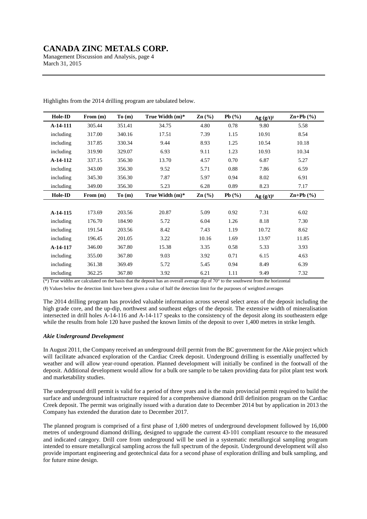Management Discussion and Analysis, page 4 March 31, 2015

| Hole-ID   | From $(m)$ | To(m)  | True Width $(m)^*$ | $\mathbf{Zn}$ (%) | Pb $(\%)$  | $Ag (g/t)^{+}$ | $\mathbf{Zn} + \mathbf{Pb}$ (%) |
|-----------|------------|--------|--------------------|-------------------|------------|----------------|---------------------------------|
| A-14-111  | 305.44     | 351.41 | 34.75              | 4.80              | 0.78       | 9.80           | 5.58                            |
| including | 317.00     | 340.16 | 17.51              | 7.39              | 1.15       | 10.91          | 8.54                            |
| including | 317.85     | 330.34 | 9.44               | 8.93              | 1.25       | 10.54          | 10.18                           |
| including | 319.90     | 329.07 | 6.93               | 9.11              | 1.23       | 10.93          | 10.34                           |
| A-14-112  | 337.15     | 356.30 | 13.70              | 4.57              | 0.70       | 6.87           | 5.27                            |
| including | 343.00     | 356.30 | 9.52               | 5.71              | 0.88       | 7.86           | 6.59                            |
| including | 345.30     | 356.30 | 7.87               | 5.97              | 0.94       | 8.02           | 6.91                            |
| including | 349.00     | 356.30 | 5.23               | 6.28              | 0.89       | 8.23           | 7.17                            |
| Hole-ID   | From $(m)$ | To(m)  | True Width $(m)^*$ | $\text{Zn}(\%)$   | Pb $(\% )$ | Ag (g/t)       | $\mathbf{Zn} + \mathbf{Pb}$ (%) |
|           |            |        |                    |                   |            |                |                                 |
| A-14-115  | 173.69     | 203.56 | 20.87              | 5.09              | 0.92       | 7.31           | 6.02                            |
| including | 176.70     | 184.90 | 5.72               | 6.04              | 1.26       | 8.18           | 7.30                            |
| including | 191.54     | 203.56 | 8.42               | 7.43              | 1.19       | 10.72          | 8.62                            |
| including | 196.45     | 201.05 | 3.22               | 10.16             | 1.69       | 13.97          | 11.85                           |
| A-14-117  | 346.00     | 367.80 | 15.38              | 3.35              | 0.58       | 5.33           | 3.93                            |
| including | 355.00     | 367.80 | 9.03               | 3.92              | 0.71       | 6.15           | 4.63                            |
| including | 361.38     | 369.49 | 5.72               | 5.45              | 0.94       | 8.49           | 6.39                            |
| including | 362.25     | 367.80 | 3.92               | 6.21              | 1.11       | 9.49           | 7.32                            |

Highlights from the 2014 drilling program are tabulated below.

 $(*)$  True widths are calculated on the basis that the deposit has an overall average dip of 70 $\degree$  to the southwest from the horizontal

(ŷ) Values below the detection limit have been given a value of half the detection limit for the purposes of weighted averages

The 2014 drilling program has provided valuable information across several select areas of the deposit including the high grade core, and the up-dip, northwest and southeast edges of the deposit. The extensive width of mineralisation intersected in drill holes A-14-116 and A-14-117 speaks to the consistency of the deposit along its southeastern edge while the results from hole 120 have pushed the known limits of the deposit to over 1,400 metres in strike length.

### *Akie Underground Development*

In August 2011, the Company received an underground drill permit from the BC government for the Akie project which will facilitate advanced exploration of the Cardiac Creek deposit. Underground drilling is essentially unaffected by weather and will allow year-round operation. Planned development will initially be confined in the footwall of the deposit. Additional development would allow for a bulk ore sample to be taken providing data for pilot plant test work and marketability studies.

The underground drill permit is valid for a period of three years and is the main provincial permit required to build the surface and underground infrastructure required for a comprehensive diamond drill definition program on the Cardiac Creek deposit. The permit was originally issued with a duration date to December 2014 but by application in 2013 the Company has extended the duration date to December 2017.

The planned program is comprised of a first phase of 1,600 metres of underground development followed by 16,000 metres of underground diamond drilling, designed to upgrade the current 43-101 compliant resource to the measured and indicated category. Drill core from underground will be used in a systematic metallurgical sampling program intended to ensure metallurgical sampling across the full spectrum of the deposit. Underground development will also provide important engineering and geotechnical data for a second phase of exploration drilling and bulk sampling, and for future mine design.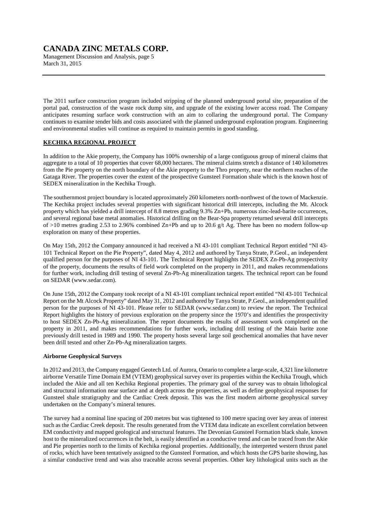Management Discussion and Analysis, page 5 March 31, 2015

The 2011 surface construction program included stripping of the planned underground portal site, preparation of the portal pad, construction of the waste rock dump site, and upgrade of the existing lower access road. The Company anticipates resuming surface work construction with an aim to collaring the underground portal. The Company continues to examine tender bids and costs associated with the planned underground exploration program. Engineering and environmental studies will continue as required to maintain permits in good standing.

### **KECHIKA REGIONAL PROJECT**

In addition to the Akie property, the Company has 100% ownership of a large contiguous group of mineral claims that aggregate to a total of 10 properties that cover 68,000 hectares. The mineral claims stretch a distance of 140 kilometres from the Pie property on the north boundary of the Akie property to the Thro property, near the northern reaches of the Gataga River. The properties cover the extent of the prospective Gunsteel Formation shale which is the known host of SEDEX mineralization in the Kechika Trough.

The southernmost project boundary is located approximately 260 kilometers north-northwest of the town of Mackenzie. The Kechika project includes several properties with significant historical drill intercepts, including the Mt. Alcock property which has yielded a drill intercept of 8.8 metres grading 9.3% Zn+Pb, numerous zinc-lead-barite occurrences, and several regional base metal anomalies. Historical drilling on the Bear-Spa property returned several drill intercepts of  $>10$  metres grading 2.53 to 2.96% combined Zn+Pb and up to 20.6 g/t Ag. There has been no modern follow-up exploration on many of these properties.

On May 15th, 2012 the Company announced it had received a NI 43-101 compliant Technical Report entitled "NI 43- 101 Technical Report on the Pie Property", dated May 4, 2012 and authored by Tanya Strate, P.Geol., an independent qualified person for the purposes of NI 43-101. The Technical Report highlights the SEDEX Zn-Pb-Ag prospectivity of the property, documents the results of field work completed on the property in 2011, and makes recommendations for further work, including drill testing of several Zn-Pb-Ag mineralization targets. The technical report can be found on SEDAR (www.sedar.com).

On June 15th, 2012 the Company took receipt of a NI 43-101 compliant technical report entitled "NI 43-101 Technical Report on the Mt Alcock Property" dated May 31, 2012 and authored by Tanya Strate, P.Geol., an independent qualified person for the purposes of NI 43-101. Please refer to SEDAR (www.sedar.com) to review the report. The Technical Report highlights the history of previous exploration on the property since the 1970's and identifies the prospectivity to host SEDEX Zn-Pb-Ag mineralization. The report documents the results of assessment work completed on the property in 2011, and makes recommendations for further work, including drill testing of the Main barite zone previously drill tested in 1989 and 1990. The property hosts several large soil geochemical anomalies that have never been drill tested and other Zn-Pb-Ag mineralization targets.

#### **Airborne Geophysical Surveys**

In 2012 and 2013, the Company engaged Geotech Ltd. of Aurora, Ontario to complete a large-scale, 4,321 line kilometre airborne Versatile Time Domain EM (VTEM) geophysical survey over its properties within the Kechika Trough, which included the Akie and all ten Kechika Regional properties. The primary goal of the survey was to obtain lithological and structural information near surface and at depth across the properties, as well as define geophysical responses for Gunsteel shale stratigraphy and the Cardiac Creek deposit. This was the first modern airborne geophysical survey undertaken on the Company's mineral tenures.

The survey had a nominal line spacing of 200 metres but was tightened to 100 metre spacing over key areas of interest such as the Cardiac Creek deposit. The results generated from the VTEM data indicate an excellent correlation between EM conductivity and mapped geological and structural features. The Devonian Gunsteel Formation black shale, known host to the mineralized occurrences in the belt, is easily identified as a conductive trend and can be traced from the Akie and Pie properties north to the limits of Kechika regional properties. Additionally, the interpreted western thrust panel of rocks, which have been tentatively assigned to the Gunsteel Formation, and which hosts the GPS barite showing, has a similar conductive trend and was also traceable across several properties. Other key lithological units such as the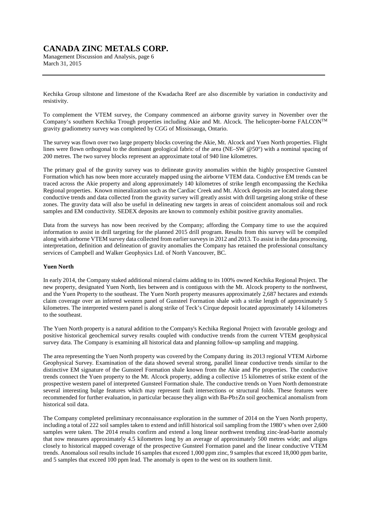Management Discussion and Analysis, page 6 March 31, 2015

Kechika Group siltstone and limestone of the Kwadacha Reef are also discernible by variation in conductivity and resistivity.

To complement the VTEM survey, the Company commenced an airborne gravity survey in November over the Company's southern Kechika Trough properties including Akie and Mt. Alcock. The helicopter-borne FALCONTM gravity gradiometry survey was completed by CGG of Mississauga, Ontario.

The survey was flown over two large property blocks covering the Akie, Mt. Alcock and Yuen North properties. Flight lines were flown orthogonal to the dominant geological fabric of the area (NE–SW @50°) with a nominal spacing of 200 metres. The two survey blocks represent an approximate total of 940 line kilometres.

The primary goal of the gravity survey was to delineate gravity anomalies within the highly prospective Gunsteel Formation which has now been more accurately mapped using the airborne VTEM data. Conductive EM trends can be traced across the Akie property and along approximately 140 kilometres of strike length encompassing the Kechika Regional properties. Known mineralization such as the Cardiac Creek and Mt. Alcock deposits are located along these conductive trends and data collected from the gravity survey will greatly assist with drill targeting along strike of these zones. The gravity data will also be useful in delineating new targets in areas of coincident anomalous soil and rock samples and EM conductivity. SEDEX deposits are known to commonly exhibit positive gravity anomalies.

Data from the surveys has now been received by the Company; affording the Company time to use the acquired information to assist in drill targeting for the planned 2015 drill program. Results from this survey will be compiled along with airborne VTEM survey data collected from earlier surveys in 2012 and 2013. To assist in the data processing, interpretation, definition and delineation of gravity anomalies the Company has retained the professional consultancy services of Campbell and Walker Geophysics Ltd. of North Vancouver, BC.

### **Yuen North**

In early 2014, the Company staked additional mineral claims adding to its 100% owned Kechika Regional Project. The new property, designated Yuen North, lies between and is contiguous with the Mt. Alcock property to the northwest, and the Yuen Property to the southeast. The Yuen North property measures approximately 2,687 hectares and extends claim coverage over an inferred western panel of Gunsteel Formation shale with a strike length of approximately 5 kilometres. The interpreted western panel is along strike of Teck's Cirque deposit located approximately 14 kilometres to the southeast.

The Yuen North property is a natural addition to the Company's Kechika Regional Project with favorable geology and positive historical geochemical survey results coupled with conductive trends from the current VTEM geophysical survey data. The Company is examining all historical data and planning follow-up sampling and mapping.

The area representing the Yuen North property was covered by the Company during its 2013 regional VTEM Airborne Geophysical Survey. Examination of the data showed several strong, parallel linear conductive trends similar to the distinctive EM signature of the Gunsteel Formation shale known from the Akie and Pie properties. The conductive trends connect the Yuen property to the Mt. Alcock property, adding a collective 15 kilometres of strike extent of the prospective western panel of interpreted Gunsteel Formation shale. The conductive trends on Yuen North demonstrate several interesting bulge features which may represent fault intersections or structural folds. These features were recommended for further evaluation, in particular because they align with Ba-Pb±Zn soil geochemical anomalism from historical soil data.

The Company completed preliminary reconnaissance exploration in the summer of 2014 on the Yuen North property, including a total of 222 soil samples taken to extend and infill historical soil sampling from the 1980's when over 2,600 samples were taken. The 2014 results confirm and extend a long linear northwest trending zinc-lead-barite anomaly that now measures approximately 4.5 kilometres long by an average of approximately 500 metres wide; and aligns closely to historical mapped coverage of the prospective Gunsteel Formation panel and the linear conductive VTEM trends. Anomalous soil results include 16 samples that exceed 1,000 ppm zinc, 9 samples that exceed 18,000 ppm barite, and 5 samples that exceed 100 ppm lead. The anomaly is open to the west on its southern limit.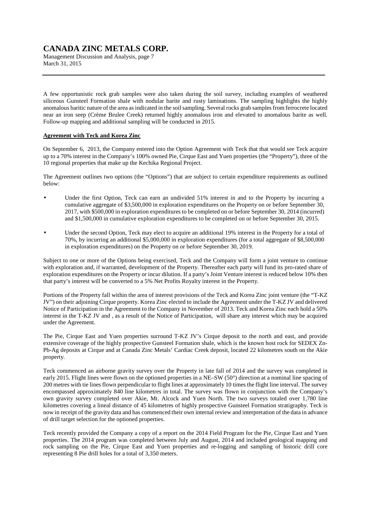Management Discussion and Analysis, page 7 March 31, 2015

A few opportunistic rock grab samples were also taken during the soil survey, including examples of weathered siliceous Gunsteel Formation shale with nodular barite and rusty laminations. The sampling highlights the highly anomalous baritic nature of the area as indicated in the soil sampling. Several rocks grab samples from ferrocrete located near an iron seep (Crème Brulee Creek) returned highly anomalous iron and elevated to anomalous barite as well. Follow-up mapping and additional sampling will be conducted in 2015.

### **Agreement with Teck and Korea Zinc**

On September 6, 2013, the Company entered into the Option Agreement with Teck that that would see Teck acquire up to a 70% interest in the Company's 100% owned Pie, Cirque East and Yuen properties (the "Property"), three of the 10 regional properties that make up the Kechika Regional Project.

The Agreement outlines two options (the "Options") that are subject to certain expenditure requirements as outlined below:

- Under the first Option, Teck can earn an undivided 51% interest in and to the Property by incurring a cumulative aggregate of \$3,500,000 in exploration expenditures on the Property on or before September 30, 2017, with \$500,000 in exploration expenditures to be completed on or before September 30, 2014 (incurred) and \$1,500,000 in cumulative exploration expenditures to be completed on or before September 30, 2015.
- Under the second Option, Teck may elect to acquire an additional 19% interest in the Property for a total of 70%, by incurring an additional \$5,000,000 in exploration expenditures (for a total aggregate of \$8,500,000 in exploration expenditures) on the Property on or before September 30, 2019.

Subject to one or more of the Options being exercised, Teck and the Company will form a joint venture to continue with exploration and, if warranted, development of the Property. Thereafter each party will fund its pro-rated share of exploration expenditures on the Property or incur dilution. If a party's Joint Venture interest is reduced below 10% then that party's interest will be converted to a 5% Net Profits Royalty interest in the Property.

Portions of the Property fall within the area of interest provisions of the Teck and Korea Zinc joint venture (the "T-KZ JV") on their adjoining Cirque property. Korea Zinc elected to include the Agreement under the T-KZ JV and delivered Notice of Participation in the Agreement to the Company in November of 2013. Teck and Korea Zinc each hold a 50% interest in the T-KZ JV and , as a result of the Notice of Participation, will share any interest which may be acquired under the Agreement.

The Pie, Cirque East and Yuen properties surround T-KZ JV's Cirque deposit to the north and east, and provide extensive coverage of the highly prospective Gunsteel Formation shale, which is the known host rock for SEDEX Zn-Pb-Ag deposits at Cirque and at Canada Zinc Metals' Cardiac Creek deposit, located 22 kilometres south on the Akie property.

Teck commenced an airborne gravity survey over the Property in late fall of 2014 and the survey was completed in early 2015. Flight lines were flown on the optioned properties in a NE–SW (50°) direction at a nominal line spacing of 200 metres with tie lines flown perpendicular to flight lines at approximately 10 times the flight line interval. The survey encompassed approximately 840 line kilometres in total. The survey was flown in conjunction with the Company's own gravity survey completed over Akie, Mt. Alcock and Yuen North. The two surveys totaled over 1,780 line kilometres covering a lineal distance of 45 kilometres of highly prospective Gunsteel Formation stratigraphy. Teck is now in receipt of the gravity data and has commenced their own internal review and interpretation of the data in advance of drill target selection for the optioned properties.

Teck recently provided the Company a copy of a report on the 2014 Field Program for the Pie, Cirque East and Yuen properties. The 2014 program was completed between July and August, 2014 and included geological mapping and rock sampling on the Pie, Cirque East and Yuen properties and re-logging and sampling of historic drill core representing 8 Pie drill holes for a total of 3,350 meters.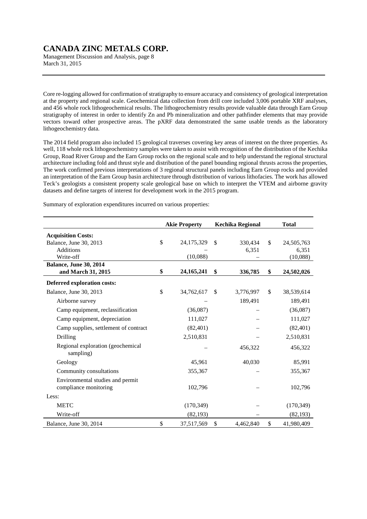Management Discussion and Analysis, page 8 March 31, 2015

Core re-logging allowed for confirmation of stratigraphy to ensure accuracy and consistency of geological interpretation at the property and regional scale. Geochemical data collection from drill core included 3,006 portable XRF analyses, and 456 whole rock lithogeochemical results. The lithogeochemistry results provide valuable data through Earn Group stratigraphy of interest in order to identify Zn and Pb mineralization and other pathfinder elements that may provide vectors toward other prospective areas. The pXRF data demonstrated the same usable trends as the laboratory lithogeochemistry data.

The 2014 field program also included 15 geological traverses covering key areas of interest on the three properties. As well, 118 whole rock lithogeochemistry samples were taken to assist with recognition of the distribution of the Kechika Group, Road River Group and the Earn Group rocks on the regional scale and to help understand the regional structural architecture including fold and thrust style and distribution of the panel bounding regional thrusts across the properties, The work confirmed previous interpretations of 3 regional structural panels including Earn Group rocks and provided an interpretation of the Earn Group basin architecture through distribution of various lithofacies. The work has allowed Teck's geologists a consistent property scale geological base on which to interpret the VTEM and airborne gravity datasets and define targets of interest for development work in the 2015 program.

Summary of exploration expenditures incurred on various properties:

|                                                           | <b>Akie Property</b> |              | <b>Kechika Regional</b> | <b>Total</b>     |
|-----------------------------------------------------------|----------------------|--------------|-------------------------|------------------|
| <b>Acquisition Costs:</b>                                 |                      |              |                         |                  |
| Balance, June 30, 2013                                    | \$<br>24,175,329     | \$           | 330,434                 | \$<br>24,505,763 |
| Additions                                                 |                      |              | 6,351                   | 6,351            |
| Write-off                                                 | (10,088)             |              |                         | (10,088)         |
| Balance, June 30, 2014                                    |                      |              |                         |                  |
| and March 31, 2015                                        | \$<br>24, 165, 241   | \$           | 336,785                 | \$<br>24,502,026 |
| Deferred exploration costs:                               |                      |              |                         |                  |
| Balance, June 30, 2013                                    | \$<br>34,762,617     | $\mathbb{S}$ | 3,776,997               | \$<br>38,539,614 |
| Airborne survey                                           |                      |              | 189,491                 | 189,491          |
| Camp equipment, reclassification                          | (36,087)             |              |                         | (36,087)         |
| Camp equipment, depreciation                              | 111,027              |              |                         | 111,027          |
| Camp supplies, settlement of contract                     | (82, 401)            |              |                         | (82, 401)        |
| Drilling                                                  | 2,510,831            |              |                         | 2,510,831        |
| Regional exploration (geochemical<br>sampling)            |                      |              | 456,322                 | 456,322          |
| Geology                                                   | 45,961               |              | 40,030                  | 85,991           |
| Community consultations                                   | 355,367              |              |                         | 355,367          |
| Environmental studies and permit<br>compliance monitoring | 102,796              |              |                         | 102,796          |
| Less:                                                     |                      |              |                         |                  |
| <b>METC</b>                                               | (170, 349)           |              |                         | (170, 349)       |
| Write-off                                                 | (82, 193)            |              |                         | (82, 193)        |
| Balance, June 30, 2014                                    | \$<br>37,517,569     | \$           | 4,462,840               | \$<br>41,980,409 |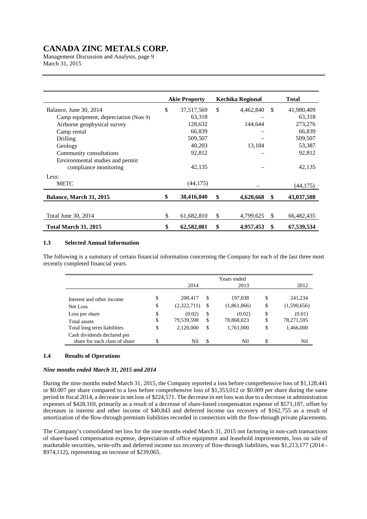Management Discussion and Analysis, page 9 March 31, 2015

|                                       | <b>Akie Property</b> |            | Kechika Regional | <b>Total</b>  |            |
|---------------------------------------|----------------------|------------|------------------|---------------|------------|
| Balance, June 30, 2014                | \$                   | 37,517,569 | \$<br>4,462,840  | <sup>\$</sup> | 41,980,409 |
| Camp equipment, depreciation (Note 9) |                      | 63,318     |                  |               | 63,318     |
| Airborne geophysical survey           |                      | 128,632    | 144,644          |               | 273,276    |
| Camp rental                           |                      | 66,839     |                  |               | 66,839     |
| Drilling                              |                      | 509,507    |                  |               | 509,507    |
| Geology                               |                      | 40,203     | 13,184           |               | 53,387     |
| Community consultations               |                      | 92,812     |                  |               | 92,812     |
| Environmental studies and permit      |                      |            |                  |               |            |
| compliance monitoring                 |                      | 42,135     |                  |               | 42,135     |
| Less:                                 |                      |            |                  |               |            |
| <b>METC</b>                           |                      | (44, 175)  |                  |               | (44, 175)  |
| Balance, March 31, 2015               |                      | 38,416,840 | \$<br>4,620,668  | \$            | 43,037,508 |
|                                       |                      |            |                  |               |            |
| Total June 30, 2014                   | \$                   | 61,682,810 | \$<br>4,799,625  | \$            | 66,482,435 |
| <b>Total March 31, 2015</b>           | \$                   | 62,582,081 | \$<br>4,957,453  | \$            | 67.539.534 |

### **1.3 Selected Annual Information**

The following is a summary of certain financial information concerning the Company for each of the last three most recently completed financial years.

|                               |                   |    | Years ended |                   |
|-------------------------------|-------------------|----|-------------|-------------------|
|                               | 2014              |    | 2013        | 2012              |
| Interest and other income     | \$<br>208,417     | S  | 197,038     | \$<br>241,234     |
| Net Loss                      | \$<br>(2,322,711) | S  | (1,861,866) | \$<br>(1,590,656) |
| Loss per share                | \$<br>(0.02)      | \$ | (0.02)      | \$<br>(0.01)      |
| Total assets                  | \$<br>79,539,598  | \$ | 78,868,023  | \$<br>78,271,595  |
| Total long term liabilities   | \$<br>2,120,000   | \$ | 1,761,000   | \$<br>1,466,000   |
| Cash dividends declared per   |                   |    |             |                   |
| share for each class of share | \$<br>Nil         | \$ | Nil         | \$<br>Nil         |

### **1.4 Results of Operations**

### *Nine months ended March 31, 2015 and 2014*

During the nine months ended March 31, 2015, the Company reported a loss before comprehensive loss of \$1,128,441 or \$0.007 per share compared to a loss before comprehensive loss of \$1,353,012 or \$0.009 per share during the same period in fiscal 2014, a decrease in net loss of \$224,571. The decrease in net loss was due to a decrease in administration expenses of \$428,169, primarily as a result of a decrease of share-based compensation expense of \$571,187, offset by decreases in interest and other income of \$40,843 and deferred income tax recovery of \$162,755 as a result of amortization of the flow-through premium liabilities recorded in connection with the flow-through private placements.

The Company's consolidated net loss for the nine months ended March 31, 2015 not factoring in non-cash transactions of share-based compensation expense, depreciation of office equipment and leasehold improvements, loss on sale of marketable securities, write-offs and deferred income tax recovery of flow-through liabilities, was \$1,213,177 (2014 - \$974,112), representing an increase of \$239,065.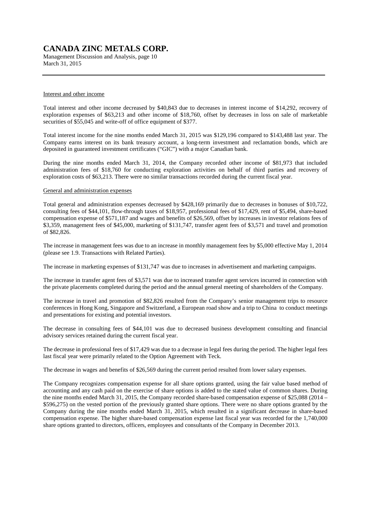Management Discussion and Analysis, page 10 March 31, 2015

#### Interest and other income

Total interest and other income decreased by \$40,843 due to decreases in interest income of \$14,292, recovery of exploration expenses of \$63,213 and other income of \$18,760, offset by decreases in loss on sale of marketable securities of \$55,045 and write-off of office equipment of \$377.

Total interest income for the nine months ended March 31, 2015 was \$129,196 compared to \$143,488 last year. The Company earns interest on its bank treasury account, a long-term investment and reclamation bonds, which are deposited in guaranteed investment certificates ("GIC") with a major Canadian bank.

During the nine months ended March 31, 2014, the Company recorded other income of \$81,973 that included administration fees of \$18,760 for conducting exploration activities on behalf of third parties and recovery of exploration costs of \$63,213. There were no similar transactions recorded during the current fiscal year.

#### General and administration expenses

Total general and administration expenses decreased by \$428,169 primarily due to decreases in bonuses of \$10,722, consulting fees of \$44,101, flow-through taxes of \$18,957, professional fees of \$17,429, rent of \$5,494, share-based compensation expense of \$571,187 and wages and benefits of \$26,569, offset by increases in investor relations fees of \$3,359, management fees of \$45,000, marketing of \$131,747, transfer agent fees of \$3,571 and travel and promotion of \$82,826.

The increase in management fees was due to an increase in monthly management fees by \$5,000 effective May 1, 2014 (please see 1.9. Transactions with Related Parties).

The increase in marketing expenses of \$131,747 was due to increases in advertisement and marketing campaigns.

The increase in transfer agent fees of \$3,571 was due to increased transfer agent services incurred in connection with the private placements completed during the period and the annual general meeting of shareholders of the Company.

The increase in travel and promotion of \$82,826 resulted from the Company's senior management trips to resource conferences in Hong Kong, Singapore and Switzerland, a European road show and a trip to China to conduct meetings and presentations for existing and potential investors.

The decrease in consulting fees of \$44,101 was due to decreased business development consulting and financial advisory services retained during the current fiscal year.

The decrease in professional fees of \$17,429 was due to a decrease in legal fees during the period. The higher legal fees last fiscal year were primarily related to the Option Agreement with Teck.

The decrease in wages and benefits of \$26,569 during the current period resulted from lower salary expenses.

The Company recognizes compensation expense for all share options granted, using the fair value based method of accounting and any cash paid on the exercise of share options is added to the stated value of common shares. During the nine months ended March 31, 2015, the Company recorded share-based compensation expense of \$25,088 (2014 – \$596,275) on the vested portion of the previously granted share options. There were no share options granted by the Company during the nine months ended March 31, 2015, which resulted in a significant decrease in share-based compensation expense. The higher share-based compensation expense last fiscal year was recorded for the 1,740,000 share options granted to directors, officers, employees and consultants of the Company in December 2013.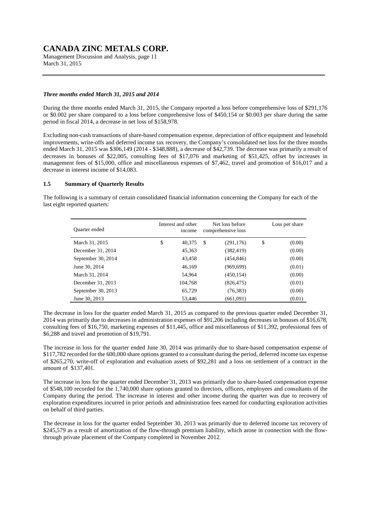Management Discussion and Analysis, page 11 March 31, 2015

#### *Three months ended March 31, 2015 and 2014*

During the three months ended March 31, 2015, the Company reported a loss before comprehensive loss of \$291,176 or \$0.002 per share compared to a loss before comprehensive loss of \$450,154 or \$0.003 per share during the same period in fiscal 2014, a decrease in net loss of \$158,978.

Excluding non-cash transactions of share-based compensation expense, depreciation of office equipment and leasehold improvements, write-offs and deferred income tax recovery, the Company's consolidated net loss for the three months ended March 31, 2015 was \$306,149 (2014 - \$348,888), a decrease of \$42,739. The decrease was primarily a result of decreases in bonuses of \$22,005, consulting fees of \$17,076 and marketing of \$51,425, offset by increases in management fees of \$15,000, office and miscellaneous expenses of \$7,462, travel and promotion of \$16,017 and a decrease in interest income of \$14,083.

#### **1.5 Summary of Quarterly Results**

The following is a summary of certain consolidated financial information concerning the Company for each of the last eight reported quarters:

| Ouarter ended      | Interest and other<br>income |   | Net loss before<br>comprehensive loss | Loss per share |
|--------------------|------------------------------|---|---------------------------------------|----------------|
| March 31, 2015     | \$<br>40.375                 | S | (291, 176)                            | \$<br>(0.00)   |
| December 31, 2014  | 45.363                       |   | (382, 419)                            | (0.00)         |
| September 30, 2014 | 43.458                       |   | (454, 846)                            | (0.00)         |
| June 30, 2014      | 46.169                       |   | (969, 699)                            | (0.01)         |
| March 31, 2014     | 54.964                       |   | (450, 154)                            | (0.00)         |
| December 31, 2013  | 104.768                      |   | (826, 475)                            | (0.01)         |
| September 30, 2013 | 65,729                       |   | (76, 383)                             | (0.00)         |
| June 30, 2013      | 53,446                       |   | (661,091)                             | (0.01)         |

The decrease in loss for the quarter ended March 31, 2015 as compared to the previous quarter ended December 31, 2014 was primarily due to decreases in administration expenses of \$91,206 including decreases in bonuses of \$16,678, consulting fees of \$16,750, marketing expenses of \$11,445, office and miscellaneous of \$11,392, professional fees of \$6,288 and travel and promotion of \$19,791.

The increase in loss for the quarter ended June 30, 2014 was primarily due to share-based compensation expense of \$117,782 recorded for the 600,000 share options granted to a consultant during the period, deferred income tax expense of \$265,270, write-off of exploration and evaluation assets of \$92,281 and a loss on settlement of a contract in the amount of \$137,401.

The increase in loss for the quarter ended December 31, 2013 was primarily due to share-based compensation expense of \$548,100 recorded for the 1,740,000 share options granted to directors, officers, employees and consultants of the Company during the period. The increase in interest and other income during the quarter was due to recovery of exploration expenditures incurred in prior periods and administration fees earned for conducting exploration activities on behalf of third parties.

The decrease in loss for the quarter ended September 30, 2013 was primarily due to deferred income tax recovery of \$245,579 as a result of amortization of the flow-through premium liability, which arose in connection with the flowthrough private placement of the Company completed in November 2012.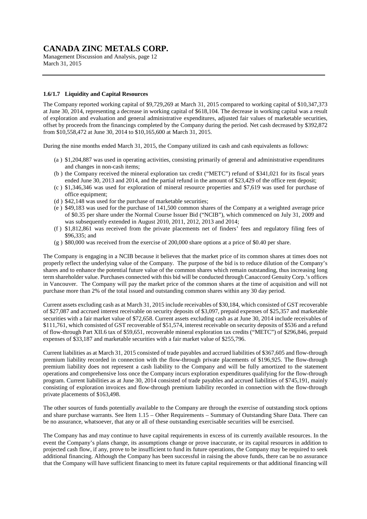Management Discussion and Analysis, page 12 March 31, 2015

#### **1.6/1.7 Liquidity and Capital Resources**

The Company reported working capital of \$9,729,269 at March 31, 2015 compared to working capital of \$10,347,373 at June 30, 2014, representing a decrease in working capital of \$618,104. The decrease in working capital was a result of exploration and evaluation and general administrative expenditures, adjusted fair values of marketable securities, offset by proceeds from the financings completed by the Company during the period. Net cash decreased by \$392,872 from \$10,558,472 at June 30, 2014 to \$10,165,600 at March 31, 2015.

During the nine months ended March 31, 2015, the Company utilized its cash and cash equivalents as follows:

- (a ) \$1,204,887 was used in operating activities, consisting primarily of general and administrative expenditures and changes in non-cash items;
- (b ) the Company received the mineral exploration tax credit ("METC") refund of \$341,021 for its fiscal years ended June 30, 2013 and 2014, and the partial refund in the amount of \$23,429 of the office rent deposit;
- (c ) \$1,346,346 was used for exploration of mineral resource properties and \$7,619 was used for purchase of office equipment;
- (d ) \$42,148 was used for the purchase of marketable securities;
- (e ) \$49,183 was used for the purchase of 141,500 common shares of the Company at a weighted average price of \$0.35 per share under the Normal Course Issuer Bid ("NCIB"), which commenced on July 31, 2009 and was subsequently extended in August 2010, 2011, 2012, 2013 and 2014;
- (f ) \$1,812,861 was received from the private placements net of finders' fees and regulatory filing fees of \$96,335; and
- (g ) \$80,000 was received from the exercise of 200,000 share options at a price of \$0.40 per share.

The Company is engaging in a NCIB because it believes that the market price of its common shares at times does not properly reflect the underlying value of the Company. The purpose of the bid is to reduce dilution of the Company's shares and to enhance the potential future value of the common shares which remain outstanding, thus increasing long term shareholder value. Purchases connected with this bid will be conducted through Canaccord Genuity Corp.'s offices in Vancouver. The Company will pay the market price of the common shares at the time of acquisition and will not purchase more than 2% of the total issued and outstanding common shares within any 30 day period.

Current assets excluding cash as at March 31, 2015 include receivables of \$30,184, which consisted of GST recoverable of \$27,087 and accrued interest receivable on security deposits of \$3,097, prepaid expenses of \$25,357 and marketable securities with a fair market value of \$72,658. Current assets excluding cash as at June 30, 2014 include receivables of \$111,761, which consisted of GST recoverable of \$51,574, interest receivable on security deposits of \$536 and a refund of flow-through Part XII.6 tax of \$59,651, recoverable mineral exploration tax credits ("METC") of \$296,846, prepaid expenses of \$33,187 and marketable securities with a fair market value of \$255,796.

Current liabilities as at March 31, 2015 consisted of trade payables and accrued liabilities of \$367,605 and flow-through premium liability recorded in connection with the flow-through private placements of \$196,925. The flow-through premium liability does not represent a cash liability to the Company and will be fully amortized to the statement operations and comprehensive loss once the Company incurs exploration expenditures qualifying for the flow-through program. Current liabilities as at June 30, 2014 consisted of trade payables and accrued liabilities of \$745,191, mainly consisting of exploration invoices and flow-through premium liability recorded in connection with the flow-through private placements of \$163,498.

The other sources of funds potentially available to the Company are through the exercise of outstanding stock options and share purchase warrants. See Item 1.15 – Other Requirements – Summary of Outstanding Share Data. There can be no assurance, whatsoever, that any or all of these outstanding exercisable securities will be exercised.

The Company has and may continue to have capital requirements in excess of its currently available resources. In the event the Company's plans change, its assumptions change or prove inaccurate, or its capital resources in addition to projected cash flow, if any, prove to be insufficient to fund its future operations, the Company may be required to seek additional financing. Although the Company has been successful in raising the above funds, there can be no assurance that the Company will have sufficient financing to meet its future capital requirements or that additional financing will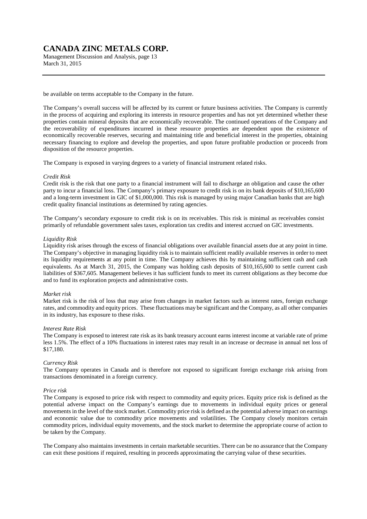Management Discussion and Analysis, page 13 March 31, 2015

be available on terms acceptable to the Company in the future.

The Company's overall success will be affected by its current or future business activities. The Company is currently in the process of acquiring and exploring its interests in resource properties and has not yet determined whether these properties contain mineral deposits that are economically recoverable. The continued operations of the Company and the recoverability of expenditures incurred in these resource properties are dependent upon the existence of economically recoverable reserves, securing and maintaining title and beneficial interest in the properties, obtaining necessary financing to explore and develop the properties, and upon future profitable production or proceeds from disposition of the resource properties.

The Company is exposed in varying degrees to a variety of financial instrument related risks.

#### *Credit Risk*

Credit risk is the risk that one party to a financial instrument will fail to discharge an obligation and cause the other party to incur a financial loss. The Company's primary exposure to credit risk is on its bank deposits of \$10,165,600 and a long-term investment in GIC of \$1,000,000. This risk is managed by using major Canadian banks that are high credit quality financial institutions as determined by rating agencies.

The Company's secondary exposure to credit risk is on its receivables. This risk is minimal as receivables consist primarily of refundable government sales taxes, exploration tax credits and interest accrued on GIC investments.

#### *Liquidity Risk*

Liquidity risk arises through the excess of financial obligations over available financial assets due at any point in time. The Company's objective in managing liquidity risk is to maintain sufficient readily available reserves in order to meet its liquidity requirements at any point in time. The Company achieves this by maintaining sufficient cash and cash equivalents. As at March 31, 2015, the Company was holding cash deposits of \$10,165,600 to settle current cash liabilities of \$367,605. Management believes it has sufficient funds to meet its current obligations as they become due and to fund its exploration projects and administrative costs.

#### *Market risk*

Market risk is the risk of loss that may arise from changes in market factors such as interest rates, foreign exchange rates, and commodity and equity prices. These fluctuations may be significant and the Company, as all other companies in its industry, has exposure to these risks.

#### *Interest Rate Risk*

The Company is exposed to interest rate risk as its bank treasury account earns interest income at variable rate of prime less 1.5%. The effect of a 10% fluctuations in interest rates may result in an increase or decrease in annual net loss of \$17,180.

#### *Currency Risk*

The Company operates in Canada and is therefore not exposed to significant foreign exchange risk arising from transactions denominated in a foreign currency.

#### *Price risk*

The Company is exposed to price risk with respect to commodity and equity prices. Equity price risk is defined as the potential adverse impact on the Company's earnings due to movements in individual equity prices or general movements in the level of the stock market. Commodity price risk is defined as the potential adverse impact on earnings and economic value due to commodity price movements and volatilities. The Company closely monitors certain commodity prices, individual equity movements, and the stock market to determine the appropriate course of action to be taken by the Company.

The Company also maintains investments in certain marketable securities. There can be no assurance that the Company can exit these positions if required, resulting in proceeds approximating the carrying value of these securities.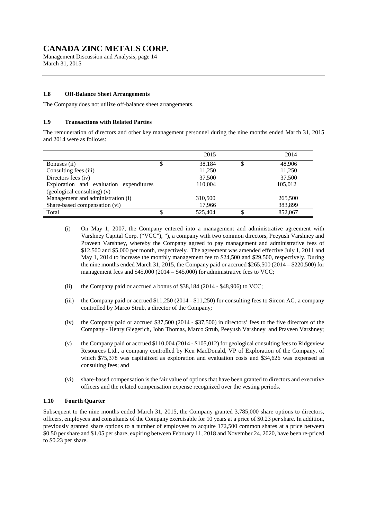Management Discussion and Analysis, page 14 March 31, 2015

#### **1.8 Off-Balance Sheet Arrangements**

The Company does not utilize off-balance sheet arrangements.

### **1.9 Transactions with Related Parties**

The remuneration of directors and other key management personnel during the nine months ended March 31, 2015 and 2014 were as follows:

|                                         | 2015    | 2014    |
|-----------------------------------------|---------|---------|
| Bonuses (ii)                            | 38,184  | 48,906  |
| Consulting fees (iii)                   | 11,250  | 11,250  |
| Directors fees (iv)                     | 37,500  | 37,500  |
| Exploration and evaluation expenditures | 110,004 | 105,012 |
| (geological consulting) (v)             |         |         |
| Management and administration (i)       | 310,500 | 265,500 |
| Share-based compensation (vi)           | 17,966  | 383,899 |
| Total                                   | 525,404 | 852,067 |

- (i) On May 1, 2007, the Company entered into a management and administrative agreement with Varshney Capital Corp. ("VCC"), "), a company with two common directors, Peeyush Varshney and Praveen Varshney, whereby the Company agreed to pay management and administrative fees of \$12,500 and \$5,000 per month, respectively. The agreement was amended effective July 1, 2011 and May 1, 2014 to increase the monthly management fee to \$24,500 and \$29,500, respectively. During the nine months ended March 31, 2015, the Company paid or accrued \$265,500 (2014 – \$220,500) for management fees and \$45,000 (2014 – \$45,000) for administrative fees to VCC;
- (ii) the Company paid or accrued a bonus of \$38,184 (2014 \$48,906) to VCC;
- (iii) the Company paid or accrued \$11,250 (2014 \$11,250) for consulting fees to Sircon AG, a company controlled by Marco Strub, a director of the Company;
- (iv) the Company paid or accrued \$37,500 (2014 \$37,500) in directors' fees to the five directors of the Company - Henry Giegerich, John Thomas, Marco Strub, Peeyush Varshney and Praveen Varshney;
- (v) the Company paid or accrued \$110,004 (2014 \$105,012) for geological consulting fees to Ridgeview Resources Ltd., a company controlled by Ken MacDonald, VP of Exploration of the Company, of which \$75,378 was capitalized as exploration and evaluation costs and \$34,626 was expensed as consulting fees; and
- (vi) share-based compensation is the fair value of options that have been granted to directors and executive officers and the related compensation expense recognized over the vesting periods.

### **1.10 Fourth Quarter**

Subsequent to the nine months ended March 31, 2015, the Company granted 3,785,000 share options to directors, officers, employees and consultants of the Company exercisable for 10 years at a price of \$0.23 per share. In addition, previously granted share options to a number of employees to acquire 172,500 common shares at a price between \$0.50 per share and \$1.05 per share, expiring between February 11, 2018 and November 24, 2020, have been re-priced to \$0.23 per share.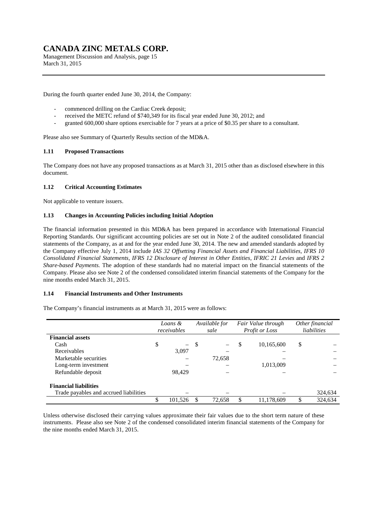Management Discussion and Analysis, page 15 March 31, 2015

During the fourth quarter ended June 30, 2014, the Company:

- commenced drilling on the Cardiac Creek deposit;
- received the METC refund of \$740,349 for its fiscal year ended June 30, 2012; and
- granted 600,000 share options exercisable for 7 years at a price of \$0.35 per share to a consultant.

Please also see Summary of Quarterly Results section of the MD&A.

### **1.11 Proposed Transactions**

The Company does not have any proposed transactions as at March 31, 2015 other than as disclosed elsewhere in this document.

### **1.12 Critical Accounting Estimates**

Not applicable to venture issuers.

#### **1.13 Changes in Accounting Policies including Initial Adoption**

The financial information presented in this MD&A has been prepared in accordance with International Financial Reporting Standards. Our significant accounting policies are set out in Note 2 of the audited consolidated financial statements of the Company, as at and for the year ended June 30, 2014. The new and amended standards adopted by the Company effective July 1, 2014 include *IAS 32 Offsetting Financial Assets and Financial Liabilities, IFRS 10 Consolidated Financial Statements, IFRS 12 Disclosure of Interest in Other Entities, IFRIC 21 Levies* and *IFRS 2 Share-based Payments.* The adoption of these standards had no material impact on the financial statements of the Company. Please also see Note 2 of the condensed consolidated interim financial statements of the Company for the nine months ended March 31, 2015.

#### **1.14 Financial Instruments and Other Instruments**

The Company's financial instruments as at March 31, 2015 were as follows:

|                                        | Available for<br>Loans &<br>receivables<br>sale |          |     | Fair Value through<br>Profit or Loss | Other financial<br>liabilities |    |         |
|----------------------------------------|-------------------------------------------------|----------|-----|--------------------------------------|--------------------------------|----|---------|
| <b>Financial assets</b>                |                                                 |          |     |                                      |                                |    |         |
| Cash                                   | \$                                              | $\equiv$ | -\$ |                                      | \$<br>10,165,600               | \$ |         |
| Receivables                            |                                                 | 3,097    |     |                                      |                                |    |         |
| Marketable securities                  |                                                 |          |     | 72,658                               |                                |    |         |
| Long-term investment                   |                                                 |          |     |                                      | 1,013,009                      |    |         |
| Refundable deposit                     |                                                 | 98.429   |     |                                      |                                |    |         |
| <b>Financial liabilities</b>           |                                                 |          |     |                                      |                                |    |         |
| Trade payables and accrued liabilities |                                                 |          |     |                                      |                                |    | 324,634 |
|                                        |                                                 | 101,526  | S   | 72,658                               | 11,178,609                     | S  | 324,634 |

Unless otherwise disclosed their carrying values approximate their fair values due to the short term nature of these instruments. Please also see Note 2 of the condensed consolidated interim financial statements of the Company for the nine months ended March 31, 2015.